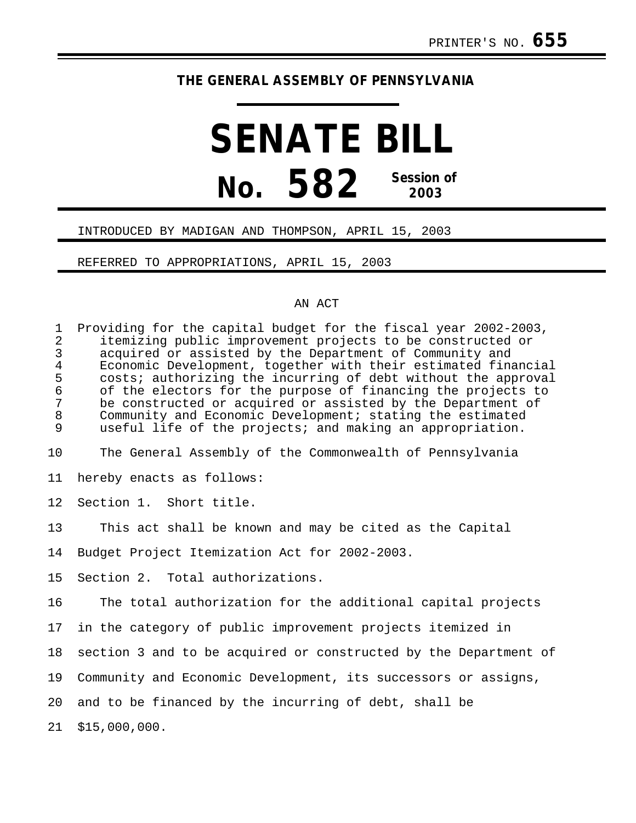## **THE GENERAL ASSEMBLY OF PENNSYLVANIA**

# **SENATE BILL No. 582 Session of 2003**

#### INTRODUCED BY MADIGAN AND THOMPSON, APRIL 15, 2003

#### REFERRED TO APPROPRIATIONS, APRIL 15, 2003

### AN ACT

| $\mathbf 1$<br>2<br>$\mathfrak{Z}$<br>$\overline{4}$<br>5<br>$\epsilon$<br>7<br>$\,8\,$<br>9 | Providing for the capital budget for the fiscal year 2002-2003,<br>itemizing public improvement projects to be constructed or<br>acquired or assisted by the Department of Community and<br>Economic Development, together with their estimated financial<br>costs; authorizing the incurring of debt without the approval<br>of the electors for the purpose of financing the projects to<br>be constructed or acquired or assisted by the Department of<br>Community and Economic Development; stating the estimated<br>useful life of the projects; and making an appropriation. |
|----------------------------------------------------------------------------------------------|-------------------------------------------------------------------------------------------------------------------------------------------------------------------------------------------------------------------------------------------------------------------------------------------------------------------------------------------------------------------------------------------------------------------------------------------------------------------------------------------------------------------------------------------------------------------------------------|
| 10                                                                                           | The General Assembly of the Commonwealth of Pennsylvania                                                                                                                                                                                                                                                                                                                                                                                                                                                                                                                            |
| 11                                                                                           | hereby enacts as follows:                                                                                                                                                                                                                                                                                                                                                                                                                                                                                                                                                           |
| 12                                                                                           | Section 1. Short title.                                                                                                                                                                                                                                                                                                                                                                                                                                                                                                                                                             |
| 13                                                                                           | This act shall be known and may be cited as the Capital                                                                                                                                                                                                                                                                                                                                                                                                                                                                                                                             |
| 14                                                                                           | Budget Project Itemization Act for 2002-2003.                                                                                                                                                                                                                                                                                                                                                                                                                                                                                                                                       |
| 15                                                                                           | Section 2. Total authorizations.                                                                                                                                                                                                                                                                                                                                                                                                                                                                                                                                                    |
| 16                                                                                           | The total authorization for the additional capital projects                                                                                                                                                                                                                                                                                                                                                                                                                                                                                                                         |
| 17                                                                                           | in the category of public improvement projects itemized in                                                                                                                                                                                                                                                                                                                                                                                                                                                                                                                          |
| 18                                                                                           | section 3 and to be acquired or constructed by the Department of                                                                                                                                                                                                                                                                                                                                                                                                                                                                                                                    |
| 19                                                                                           | Community and Economic Development, its successors or assigns,                                                                                                                                                                                                                                                                                                                                                                                                                                                                                                                      |
| 20                                                                                           | and to be financed by the incurring of debt, shall be                                                                                                                                                                                                                                                                                                                                                                                                                                                                                                                               |
| 21                                                                                           | \$15,000,000.                                                                                                                                                                                                                                                                                                                                                                                                                                                                                                                                                                       |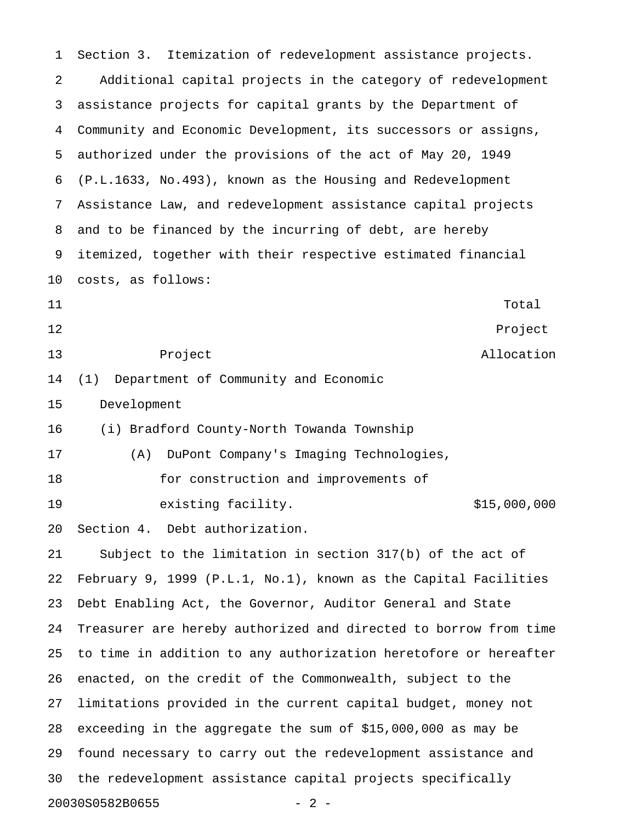1 Section 3. Itemization of redevelopment assistance projects. 2 Additional capital projects in the category of redevelopment 3 assistance projects for capital grants by the Department of 4 Community and Economic Development, its successors or assigns, 5 authorized under the provisions of the act of May 20, 1949 6 (P.L.1633, No.493), known as the Housing and Redevelopment 7 Assistance Law, and redevelopment assistance capital projects 8 and to be financed by the incurring of debt, are hereby 9 itemized, together with their respective estimated financial 10 costs, as follows: 11 Total Total Property in the set of the set of the set of the set of the set of the set of the set of the set of the set of the set of the set of the set of the set of the set of the set of the set of the set of the set 12 Project 13 **Project Profession Profession Allocation** 14 (1) Department of Community and Economic 15 Development 16 (i) Bradford County-North Towanda Township 17 (A) DuPont Company's Imaging Technologies, 18 for construction and improvements of 19 **existing facility.** The state of the set of  $\frac{15,000,000}{2}$ 20 Section 4. Debt authorization. 21 Subject to the limitation in section 317(b) of the act of 22 February 9, 1999 (P.L.1, No.1), known as the Capital Facilities 23 Debt Enabling Act, the Governor, Auditor General and State 24 Treasurer are hereby authorized and directed to borrow from time 25 to time in addition to any authorization heretofore or hereafter 26 enacted, on the credit of the Commonwealth, subject to the 27 limitations provided in the current capital budget, money not 28 exceeding in the aggregate the sum of \$15,000,000 as may be 29 found necessary to carry out the redevelopment assistance and 30 the redevelopment assistance capital projects specifically 20030S0582B0655 - 2 -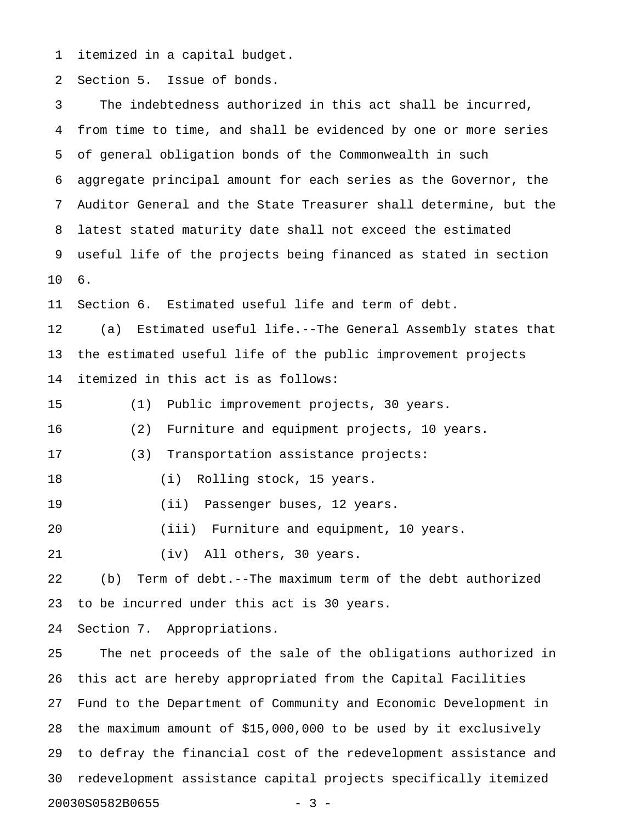1 itemized in a capital budget.

2 Section 5. Issue of bonds.

3 The indebtedness authorized in this act shall be incurred, 4 from time to time, and shall be evidenced by one or more series 5 of general obligation bonds of the Commonwealth in such 6 aggregate principal amount for each series as the Governor, the 7 Auditor General and the State Treasurer shall determine, but the 8 latest stated maturity date shall not exceed the estimated 9 useful life of the projects being financed as stated in section 10 6.

11 Section 6. Estimated useful life and term of debt.

12 (a) Estimated useful life.--The General Assembly states that 13 the estimated useful life of the public improvement projects 14 itemized in this act is as follows:

15 (1) Public improvement projects, 30 years.

16 (2) Furniture and equipment projects, 10 years.

17 (3) Transportation assistance projects:

18 (i) Rolling stock, 15 years.

19 (ii) Passenger buses, 12 years.

20 (iii) Furniture and equipment, 10 years.

21 (iv) All others, 30 years.

22 (b) Term of debt.--The maximum term of the debt authorized 23 to be incurred under this act is 30 years.

24 Section 7. Appropriations.

25 The net proceeds of the sale of the obligations authorized in 26 this act are hereby appropriated from the Capital Facilities 27 Fund to the Department of Community and Economic Development in 28 the maximum amount of \$15,000,000 to be used by it exclusively 29 to defray the financial cost of the redevelopment assistance and 30 redevelopment assistance capital projects specifically itemized 20030S0582B0655 - 3 -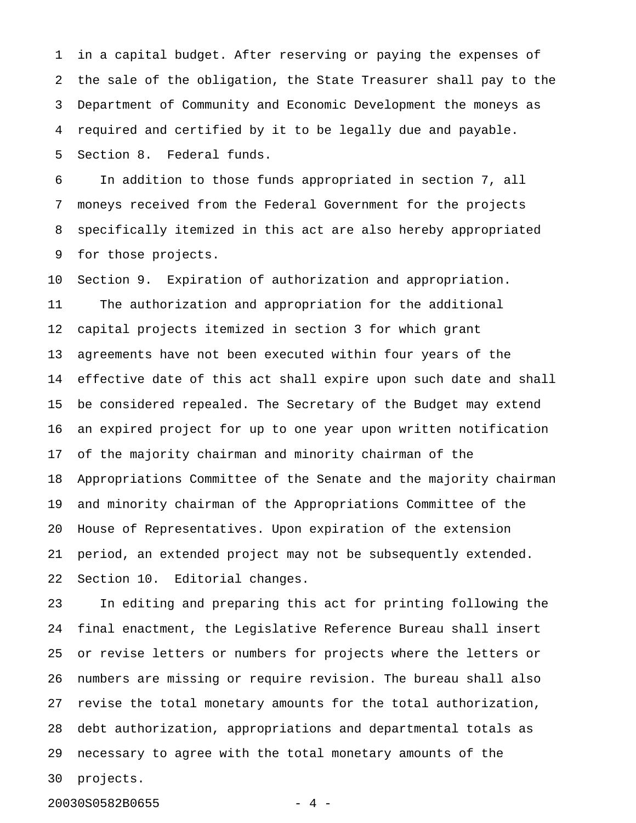1 in a capital budget. After reserving or paying the expenses of 2 the sale of the obligation, the State Treasurer shall pay to the 3 Department of Community and Economic Development the moneys as 4 required and certified by it to be legally due and payable. 5 Section 8. Federal funds.

6 In addition to those funds appropriated in section 7, all 7 moneys received from the Federal Government for the projects 8 specifically itemized in this act are also hereby appropriated 9 for those projects.

10 Section 9. Expiration of authorization and appropriation. 11 The authorization and appropriation for the additional 12 capital projects itemized in section 3 for which grant 13 agreements have not been executed within four years of the 14 effective date of this act shall expire upon such date and shall 15 be considered repealed. The Secretary of the Budget may extend 16 an expired project for up to one year upon written notification 17 of the majority chairman and minority chairman of the 18 Appropriations Committee of the Senate and the majority chairman 19 and minority chairman of the Appropriations Committee of the 20 House of Representatives. Upon expiration of the extension 21 period, an extended project may not be subsequently extended. 22 Section 10. Editorial changes.

23 In editing and preparing this act for printing following the 24 final enactment, the Legislative Reference Bureau shall insert 25 or revise letters or numbers for projects where the letters or 26 numbers are missing or require revision. The bureau shall also 27 revise the total monetary amounts for the total authorization, 28 debt authorization, appropriations and departmental totals as 29 necessary to agree with the total monetary amounts of the 30 projects.

20030S0582B0655 - 4 -